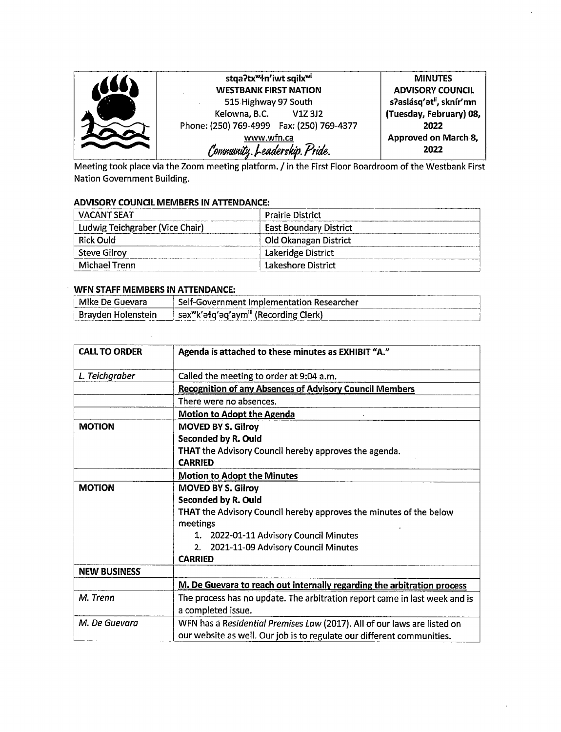| stga?tx <sup>w4</sup> n'iwt sgilx <sup>wi</sup>               | <b>MINUTES</b>          |
|---------------------------------------------------------------|-------------------------|
| <b>WESTBANK FIRST NATION</b>                                  | <b>ADVISORY COUNCIL</b> |
| 515 Highway 97 South                                          | s?aslásq'at", sknír'mn  |
| Kelowna, B.C.<br>V <sub>1</sub> Z <sub>3</sub> J <sub>2</sub> | (Tuesday, February) 08, |
| Phone: (250) 769-4999  Fax: (250) 769-4377                    | 2022                    |
| www.wfn.ca                                                    | Approved on March 8,    |
| Community. Leadership. Pride.                                 | 2022                    |

Meeting took place via the Zoom meeting platform. / in the First Floor Boardroom of the Westbank First Nation Government Building.

## ADVISORY COUNCIL MEMBERS IN ATTENDANCE:

| VACANT SEAT                     | <b>Prairie District</b>       |
|---------------------------------|-------------------------------|
| Ludwig Teichgraber (Vice Chair) | <b>East Boundary District</b> |
| <b>Rick Ould</b>                | Old Okanagan District         |
| <b>Steve Gilroy</b>             | Lakeridge District            |
| Michael Trenn                   | Lakeshore District            |

#### WFN STAFF MEMBERS IN ATTENDANCE:

 $\sim 40$ 

 $\sim$   $\sim$ 

| Mike De Guevara    | <b>Self-Government Implementation Researcher</b> |
|--------------------|--------------------------------------------------|
| Bravden Holenstein | sax"k'ałq'aq'aym <sup>ii</sup> (Recording Clerk) |

| <b>CALL TO ORDER</b> | Agenda is attached to these minutes as EXHIBIT "A."                                                                                                |
|----------------------|----------------------------------------------------------------------------------------------------------------------------------------------------|
| L. Teichgraber       | Called the meeting to order at 9:04 a.m.                                                                                                           |
|                      | <b>Recognition of any Absences of Advisory Council Members</b>                                                                                     |
|                      | There were no absences.                                                                                                                            |
|                      | <b>Motion to Adopt the Agenda</b>                                                                                                                  |
| <b>MOTION</b>        | <b>MOVED BY S. Gilroy</b>                                                                                                                          |
|                      | Seconded by R. Ould                                                                                                                                |
|                      | <b>THAT</b> the Advisory Council hereby approves the agenda.<br><b>CARRIED</b>                                                                     |
|                      | <b>Motion to Adopt the Minutes</b>                                                                                                                 |
| <b>MOTION</b>        | <b>MOVED BY S. Gilroy</b>                                                                                                                          |
|                      | <b>Seconded by R. Ould</b>                                                                                                                         |
|                      | <b>THAT</b> the Advisory Council hereby approves the minutes of the below                                                                          |
|                      | meetings                                                                                                                                           |
|                      | 1. 2022-01-11 Advisory Council Minutes                                                                                                             |
|                      | 2. 2021-11-09 Advisory Council Minutes                                                                                                             |
|                      | <b>CARRIED</b>                                                                                                                                     |
| <b>NEW BUSINESS</b>  |                                                                                                                                                    |
|                      | M. De Guevara to reach out internally regarding the arbitration process                                                                            |
| M. Trenn             | The process has no update. The arbitration report came in last week and is<br>a completed issue.                                                   |
| M. De Guevara        | WFN has a Residential Premises Law (2017). All of our laws are listed on<br>our website as well. Our job is to regulate our different communities. |

 $\ddot{\phantom{a}}$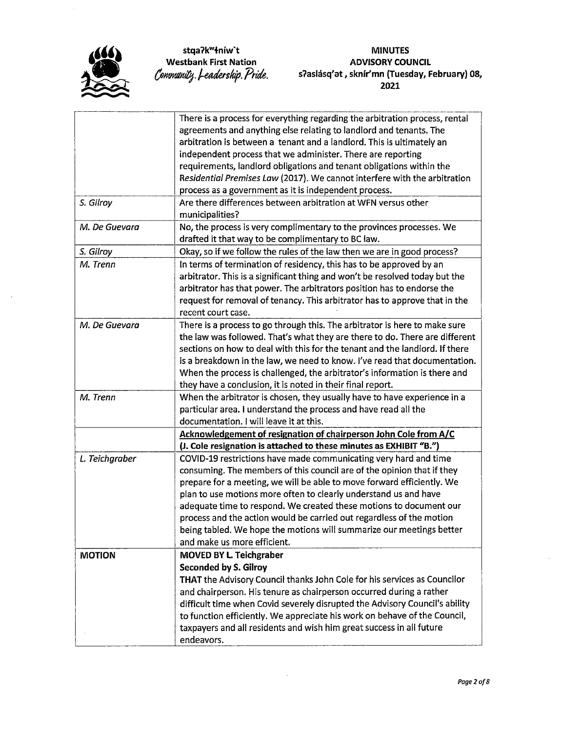

# MINUTES ADVISORY COUNCIL s?aslásq'at, sknír'mn (Tuesday, February) 08, 2021

|                | There is a process for everything regarding the arbitration process, rental |
|----------------|-----------------------------------------------------------------------------|
|                | agreements and anything else relating to landlord and tenants. The          |
|                | arbitration is between a tenant and a landlord. This is ultimately an       |
|                | independent process that we administer. There are reporting                 |
|                | requirements, landlord obligations and tenant obligations within the        |
|                |                                                                             |
|                | Residential Premises Law (2017). We cannot interfere with the arbitration   |
|                | process as a government as it is independent process.                       |
| S. Gilroy      | Are there differences between arbitration at WFN versus other               |
|                | municipalities?                                                             |
| M. De Guevara  | No, the process is very complimentary to the provinces processes. We        |
|                | drafted it that way to be complimentary to BC law.                          |
| S. Gilroy      | Okay, so if we follow the rules of the law then we are in good process?     |
| M. Trenn       | In terms of termination of residency, this has to be approved by an         |
|                | arbitrator. This is a significant thing and won't be resolved today but the |
|                | arbitrator has that power. The arbitrators position has to endorse the      |
|                | request for removal of tenancy. This arbitrator has to approve that in the  |
|                | recent court case.                                                          |
| M. De Guevara  | There is a process to go through this. The arbitrator is here to make sure  |
|                | the law was followed. That's what they are there to do. There are different |
|                | sections on how to deal with this for the tenant and the landlord. If there |
|                | is a breakdown in the law, we need to know. I've read that documentation.   |
|                | When the process is challenged, the arbitrator's information is there and   |
|                | they have a conclusion, it is noted in their final report.                  |
| M. Trenn       | When the arbitrator is chosen, they usually have to have experience in a    |
|                | particular area. I understand the process and have read all the             |
|                | documentation. I will leave it at this.                                     |
|                | Acknowledgement of resignation of chairperson John Cole from A/C            |
|                | (J. Cole resignation is attached to these minutes as EXHIBIT "B.")          |
| L. Teichgraber | COVID-19 restrictions have made communicating very hard and time            |
|                | consuming. The members of this council are of the opinion that if they      |
|                | prepare for a meeting, we will be able to move forward efficiently. We      |
|                | plan to use motions more often to clearly understand us and have            |
|                | adequate time to respond. We created these motions to document our          |
|                |                                                                             |
|                | process and the action would be carried out regardless of the motion        |
|                | being tabled. We hope the motions will summarize our meetings better        |
|                | and make us more efficient.                                                 |
| <b>MOTION</b>  | <b>MOVED BY L. Teichgraber</b>                                              |
|                | <b>Seconded by S. Gilroy</b>                                                |
|                | THAT the Advisory Council thanks John Cole for his services as Councilor    |
|                | and chairperson. His tenure as chairperson occurred during a rather         |
|                | difficult time when Covid severely disrupted the Advisory Council's ability |
|                | to function efficiently. We appreciate his work on behave of the Council,   |
|                | taxpayers and all residents and wish him great success in all future        |
|                | endeavors.                                                                  |

 $\mathcal{L}$ 

 $\mathcal{L}$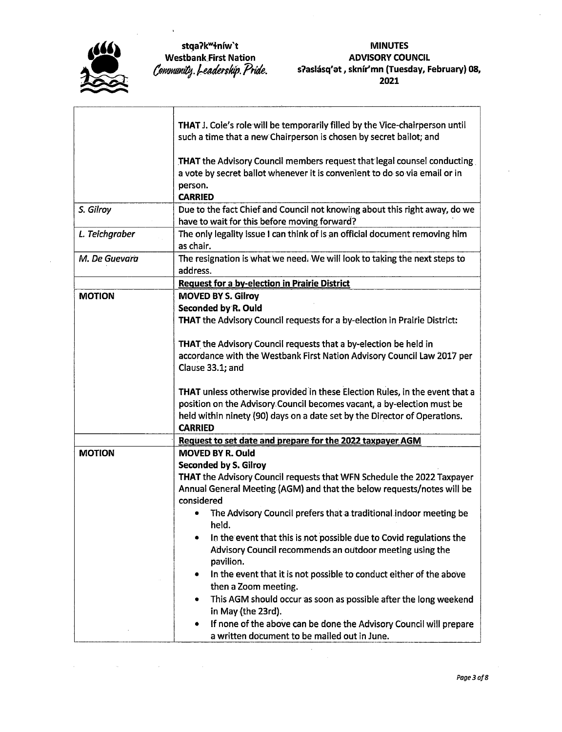

#### MINUTES ADVISORY COUNCIL s?aslásq'at, sknír'mn (Tuesday, February) 08, 2021

|                | THAT J. Cole's role will be temporarily filled by the Vice-chairperson until<br>such a time that a new Chairperson is chosen by secret ballot; and               |
|----------------|------------------------------------------------------------------------------------------------------------------------------------------------------------------|
|                | THAT the Advisory Council members request that legal counsel conducting<br>a vote by secret ballot whenever it is convenient to do so via email or in<br>person. |
|                | <b>CARRIED</b>                                                                                                                                                   |
| S. Gilroy      | Due to the fact Chief and Council not knowing about this right away, do we<br>have to wait for this before moving forward?                                       |
| L. Teichgraber | The only legality issue I can think of is an official document removing him<br>as chair.                                                                         |
| M. De Guevara  | The resignation is what we need. We will look to taking the next steps to<br>address.                                                                            |
|                | <b>Request for a by-election in Prairie District</b>                                                                                                             |
| <b>MOTION</b>  | <b>MOVED BY S. Gilroy</b>                                                                                                                                        |
|                | <b>Seconded by R. Ould</b><br>THAT the Advisory Council requests for a by-election in Prairie District:                                                          |
|                | THAT the Advisory Council requests that a by-election be held in                                                                                                 |
|                | accordance with the Westbank First Nation Advisory Council Law 2017 per                                                                                          |
|                | Clause 33.1; and                                                                                                                                                 |
|                | THAT unless otherwise provided in these Election Rules, in the event that a                                                                                      |
|                | position on the Advisory Council becomes vacant, a by-election must be                                                                                           |
|                | held within ninety (90) days on a date set by the Director of Operations.<br><b>CARRIED</b>                                                                      |
|                | Request to set date and prepare for the 2022 taxpayer AGM                                                                                                        |
| <b>MOTION</b>  | <b>MOVED BY R. Ould</b>                                                                                                                                          |
|                | <b>Seconded by S. Gilroy</b>                                                                                                                                     |
|                | THAT the Advisory Council requests that WFN Schedule the 2022 Taxpayer<br>Annual General Meeting (AGM) and that the below requests/notes will be<br>considered   |
|                | The Advisory Council prefers that a traditional indoor meeting be<br>$\bullet$<br>held.                                                                          |
|                | In the event that this is not possible due to Covid regulations the<br>۰<br>Advisory Council recommends an outdoor meeting using the<br>pavilion.                |
|                | In the event that it is not possible to conduct either of the above<br>۰<br>then a Zoom meeting.                                                                 |
|                | This AGM should occur as soon as possible after the long weekend                                                                                                 |
|                | in May (the 23rd).<br>If none of the above can be done the Advisory Council will prepare                                                                         |
|                | a written document to be mailed out in June.                                                                                                                     |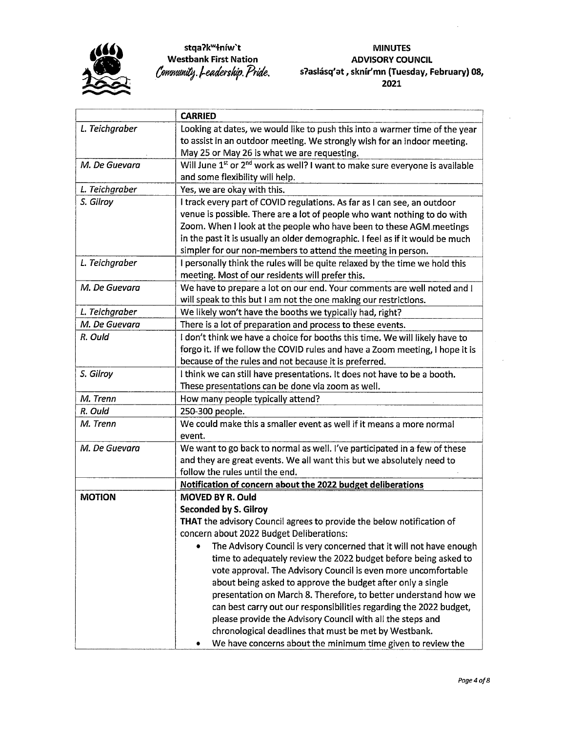

#### MINUTES ADVISORY COUNCIL s7aslásq'at, sknír'mn (Tuesday, February) 08, 2021

|                | <b>CARRIED</b>                                                                           |
|----------------|------------------------------------------------------------------------------------------|
| L. Teichgraber | Looking at dates, we would like to push this into a warmer time of the year              |
|                | to assist in an outdoor meeting. We strongly wish for an indoor meeting.                 |
|                | May 25 or May 26 is what we are requesting.                                              |
| M. De Guevara  | Will June 1st or 2 <sup>nd</sup> work as well? I want to make sure everyone is available |
|                | and some flexibility will help.                                                          |
| L. Teichgraber | Yes, we are okay with this.                                                              |
| S. Gilroy      | I track every part of COVID regulations. As far as I can see, an outdoor                 |
|                | venue is possible. There are a lot of people who want nothing to do with                 |
|                | Zoom. When I look at the people who have been to these AGM meetings                      |
|                | in the past it is usually an older demographic. I feel as if it would be much            |
|                | simpler for our non-members to attend the meeting in person.                             |
| L. Teichgraber | I personally think the rules will be quite relaxed by the time we hold this              |
|                | meeting. Most of our residents will prefer this.                                         |
| M. De Guevara  | We have to prepare a lot on our end. Your comments are well noted and I                  |
|                | will speak to this but I am not the one making our restrictions.                         |
| L. Teichgraber | We likely won't have the booths we typically had, right?                                 |
| M. De Guevara  | There is a lot of preparation and process to these events.                               |
| R. Ould        | I don't think we have a choice for booths this time. We will likely have to              |
|                | forgo it. If we follow the COVID rules and have a Zoom meeting, I hope it is             |
|                | because of the rules and not because it is preferred.                                    |
| S. Gilroy      | I think we can still have presentations. It does not have to be a booth.                 |
|                | These presentations can be done via zoom as well.                                        |
| M. Trenn       | How many people typically attend?                                                        |
| R. Ould        | 250-300 people.                                                                          |
| M. Trenn       | We could make this a smaller event as well if it means a more normal                     |
|                | event.                                                                                   |
| M. De Guevara  | We want to go back to normal as well. I've participated in a few of these                |
|                | and they are great events. We all want this but we absolutely need to                    |
|                | follow the rules until the end.                                                          |
|                | Notification of concern about the 2022 budget deliberations                              |
| <b>MOTION</b>  | <b>MOVED BY R. Ould</b>                                                                  |
|                | <b>Seconded by S. Gilroy</b>                                                             |
|                | THAT the advisory Council agrees to provide the below notification of                    |
|                | concern about 2022 Budget Deliberations:                                                 |
|                | The Advisory Council is very concerned that it will not have enough                      |
|                | time to adequately review the 2022 budget before being asked to                          |
|                | vote approval. The Advisory Council is even more uncomfortable                           |
|                | about being asked to approve the budget after only a single                              |
|                | presentation on March 8. Therefore, to better understand how we                          |
|                | can best carry out our responsibilities regarding the 2022 budget,                       |
|                | please provide the Advisory Council with all the steps and                               |
|                | chronological deadlines that must be met by Westbank.                                    |
|                | We have concerns about the minimum time given to review the                              |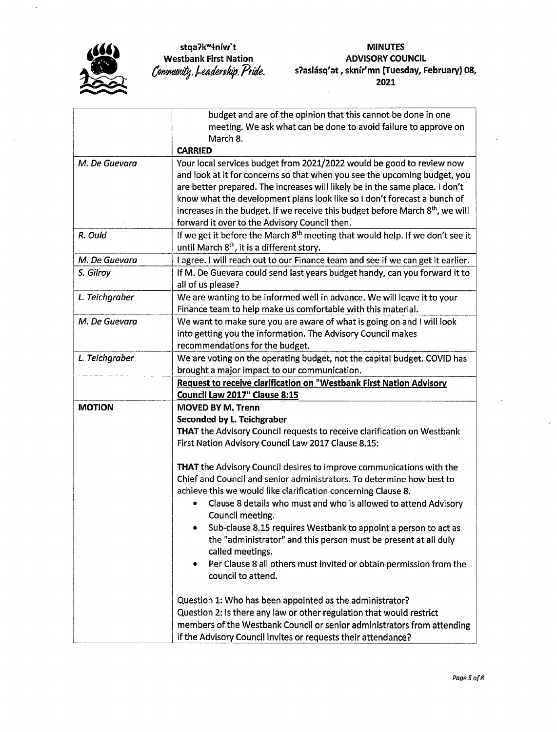

|                | budget and are of the opinion that this cannot be done in one                                                                            |
|----------------|------------------------------------------------------------------------------------------------------------------------------------------|
|                | meeting. We ask what can be done to avoid failure to approve on                                                                          |
|                | March 8.                                                                                                                                 |
|                | <b>CARRIED</b>                                                                                                                           |
| M. De Guevara  | Your local services budget from 2021/2022 would be good to review now                                                                    |
|                | and look at it for concerns so that when you see the upcoming budget, you                                                                |
|                | are better prepared. The increases will likely be in the same place. I don't                                                             |
|                | know what the development plans look like so I don't forecast a bunch of                                                                 |
|                | increases in the budget. If we receive this budget before March 8 <sup>th</sup> , we will                                                |
|                | forward it over to the Advisory Council then.                                                                                            |
| R. Ould        | If we get it before the March 8 <sup>th</sup> meeting that would help. If we don't see it                                                |
|                | until March 8 <sup>th</sup> , it is a different story.                                                                                   |
| M. De Guevara  | I agree. I will reach out to our Finance team and see if we can get it earlier.                                                          |
| S. Gilroy      | If M. De Guevara could send last years budget handy, can you forward it to                                                               |
|                | all of us please?                                                                                                                        |
| L. Teichgraber | We are wanting to be informed well in advance. We will leave it to your                                                                  |
|                | Finance team to help make us comfortable with this material.                                                                             |
| M. De Guevara  | We want to make sure you are aware of what is going on and I will look                                                                   |
|                | into getting you the information. The Advisory Council makes                                                                             |
|                | recommendations for the budget.                                                                                                          |
| L. Teichgraber | We are voting on the operating budget, not the capital budget. COVID has                                                                 |
|                | brought a major impact to our communication.                                                                                             |
|                | <b>Request to receive clarification on "Westbank First Nation Advisory</b>                                                               |
|                | Council Law 2017" Clause 8:15                                                                                                            |
| <b>MOTION</b>  | <b>MOVED BY M. Trenn</b>                                                                                                                 |
|                | Seconded by L. Teichgraber                                                                                                               |
|                | THAT the Advisory Council requests to receive clarification on Westbank                                                                  |
|                | First Nation Advisory Council Law 2017 Clause 8.15:                                                                                      |
|                |                                                                                                                                          |
|                | <b>THAT</b> the Advisory Council desires to improve communications with the                                                              |
|                | Chief and Council and senior administrators. To determine how best to                                                                    |
|                | achieve this we would like clarification concerning Clause 8.                                                                            |
|                | Clause 8 details who must and who is allowed to attend Advisory                                                                          |
|                | Council meeting.                                                                                                                         |
|                | Sub-clause 8.15 requires Westbank to appoint a person to act as                                                                          |
|                | the "administrator" and this person must be present at all duly                                                                          |
|                | called meetings.                                                                                                                         |
|                | Per Clause 8 all others must invited or obtain permission from the<br>council to attend.                                                 |
|                |                                                                                                                                          |
|                | Question 1: Who has been appointed as the administrator?                                                                                 |
|                | Question 2: Is there any law or other regulation that would restrict                                                                     |
|                |                                                                                                                                          |
|                |                                                                                                                                          |
|                | members of the Westbank Council or senior administrators from attending<br>if the Advisory Council invites or requests their attendance? |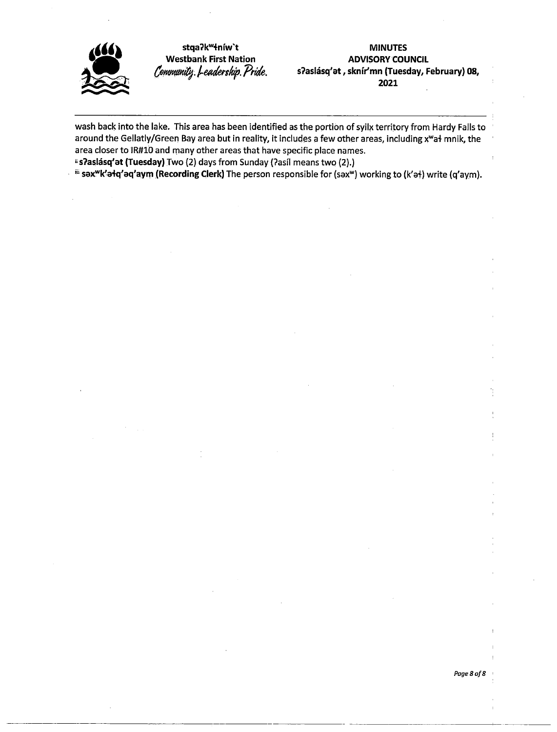

stqa?k<sup>w</sup>łníw`t Westbank First Nation<br>Community. Leadership. Pride.

#### MINUTES ADVISORY COUNCIL s? aslásq'at, sknír' mn (Tuesday, February) 08, 2021

wash back into the lake. This area has been identified as the portion of syilx territory from Hardy Falls to around the Gellatly/ Green Bay area but in reality, it includes a few other areas, including x<sup>w</sup>a+ mnik, the area closer to IR#10 and many other areas that have specific place names.

# s?aslásq'at (Tuesday) Two (2) days from Sunday (?asíl means two (2).)

 $k$ <sup>iii</sup> sax<sup>w</sup>k'atq'aq'aym (Recording Clerk) The person responsible for (sax<sup>w</sup>) working to (k'at) write (q'aym).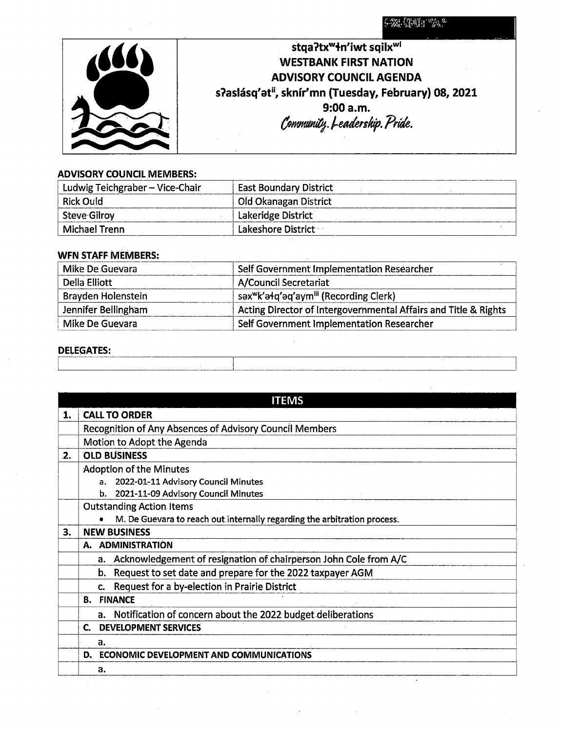**FX TRIT "A"** 

| stga?tx <sup>w</sup> +n'iwt sqilx <sup>wi</sup>     |
|-----------------------------------------------------|
| <b>WESTBANK FIRST NATION</b>                        |
| <b>ADVISORY COUNCIL AGENDA</b>                      |
| s?aslásq'ati, sknír'mn (Tuesday, February) 08, 2021 |
| 9:00a.m.                                            |
| Community. Leadership. Pride.                       |
|                                                     |
|                                                     |

# ADVISORY COUNCIL MEMBERS:

 $\sim$ 

| Ludwig Teichgraber – Vice-Chair | <b>East Boundary District</b> |
|---------------------------------|-------------------------------|
| Rick Ould                       | Old Okanagan District         |
| <b>Steve Gilroy</b>             | Lakeridge District            |
| ' Michael Trenn                 | Lakeshore District            |

# WFN STAFF MEMBERS:

| Mike De Guevara     | Self Government Implementation Researcher                       |
|---------------------|-----------------------------------------------------------------|
| Della Elliott       | <b>A/Council Secretariat</b>                                    |
| Brayden Holenstein  | səx <sup>w</sup> k'ətq'əq'aym <sup>iii</sup> (Recording Clerk)  |
| Jennifer Bellingham | Acting Director of Intergovernmental Affairs and Title & Rights |
| Mike De Guevara     | Self Government Implementation Researcher                       |

 $\mathcal{L}$ 

# **DELEGATES:**

| <b>CALL TO ORDER</b>                                                     |
|--------------------------------------------------------------------------|
|                                                                          |
| Recognition of Any Absences of Advisory Council Members                  |
| Motion to Adopt the Agenda                                               |
| <b>OLD BUSINESS</b>                                                      |
| <b>Adoption of the Minutes</b>                                           |
| a. 2022-01-11 Advisory Council Minutes                                   |
| b. 2021-11-09 Advisory Council Minutes                                   |
| <b>Outstanding Action Items</b>                                          |
| M. De Guevara to reach out internally regarding the arbitration process. |
| <b>NEW BUSINESS</b>                                                      |
| A. ADMINISTRATION                                                        |
| a. Acknowledgement of resignation of chairperson John Cole from A/C      |
| b. Request to set date and prepare for the 2022 taxpayer AGM             |
| Request for a by-election in Prairie District<br>C.                      |
| <b>B. FINANCE</b>                                                        |
| a. Notification of concern about the 2022 budget deliberations           |
| <b>DEVELOPMENT SERVICES</b>                                              |
| a.                                                                       |
| <b>ECONOMIC DEVELOPMENT AND COMMUNICATIONS</b>                           |
| a.                                                                       |
|                                                                          |

 $\cdot$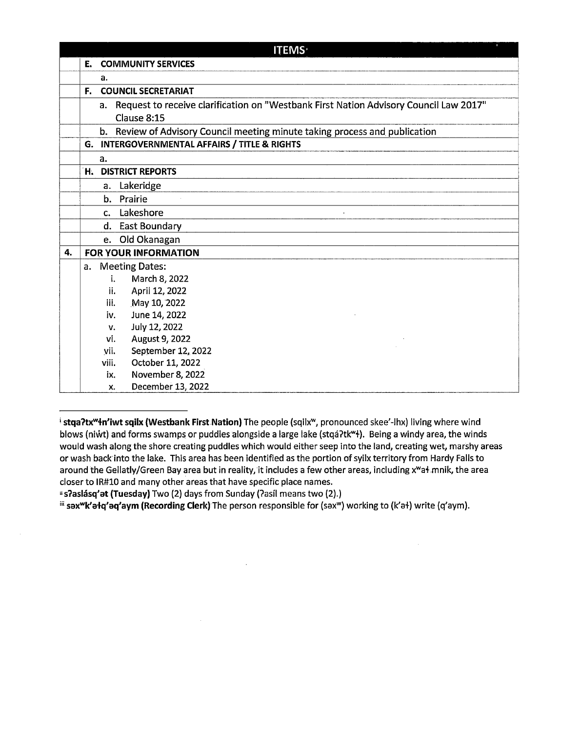| <b>ITEMS</b> |     |                                                                                          |
|--------------|-----|------------------------------------------------------------------------------------------|
|              | E., | <b>COMMUNITY SERVICES</b>                                                                |
|              |     | a.                                                                                       |
|              |     | <b>F. COUNCIL SECRETARIAT</b>                                                            |
|              |     | a. Request to receive clarification on "Westbank First Nation Advisory Council Law 2017" |
|              |     | Clause 8:15                                                                              |
|              |     | b. Review of Advisory Council meeting minute taking process and publication              |
|              |     | G. INTERGOVERNMENTAL AFFAIRS / TITLE & RIGHTS                                            |
|              |     | a.                                                                                       |
|              | Н.  | <b>DISTRICT REPORTS</b>                                                                  |
|              |     | a. Lakeridge                                                                             |
|              |     | b. Prairie                                                                               |
|              |     | c. Lakeshore                                                                             |
|              |     | d. East Boundary                                                                         |
|              |     | e. Old Okanagan                                                                          |
| 4.           |     | <b>FOR YOUR INFORMATION</b>                                                              |
|              | a.  | <b>Meeting Dates:</b>                                                                    |
|              |     | March 8, 2022<br>i.                                                                      |
|              |     | April 12, 2022<br>ii.                                                                    |
|              |     | iii.<br>May 10, 2022                                                                     |
|              |     | June 14, 2022<br>iv.                                                                     |
|              |     | July 12, 2022<br>v.                                                                      |
|              |     | August 9, 2022<br>vi.                                                                    |
|              |     | September 12, 2022<br>vii.                                                               |
|              |     | October 11, 2022<br>viii.                                                                |
|              |     | November 8, 2022<br>ix.                                                                  |
|              |     | December 13, 2022<br>X.                                                                  |

<sup>&</sup>lt;sup>i</sup> stga?tx"'+n' iwt sqilx (Westbank First Nation) The people (sqilx", pronounced skee'-lhx) living where wind blows (niwt) and forms swamps or puddles alongside a large lake (stqá?tk<sup>w</sup>+). Being a windy area, the winds would wash along the shore creating puddles which would either seep into the land, creating wet, marshy areas or wash back,into the lake. This area has been identified as the portion of syilx territory from Hardy Falls to around the Gellatly/ Green Bay area but in reality, it includes a few other areas, including x<sup>w</sup>a+ mnik, the area closer to IR#10 and many other areas that have specific place names.

# s?aslásq' et (Tuesday) Two (2) days from Sunday (?asíl means two (2).)

iii sax"k'ałq' aq' aym ( Recording Clerk) The person responsible for (sax") working to (k'ał) write (q'aym).